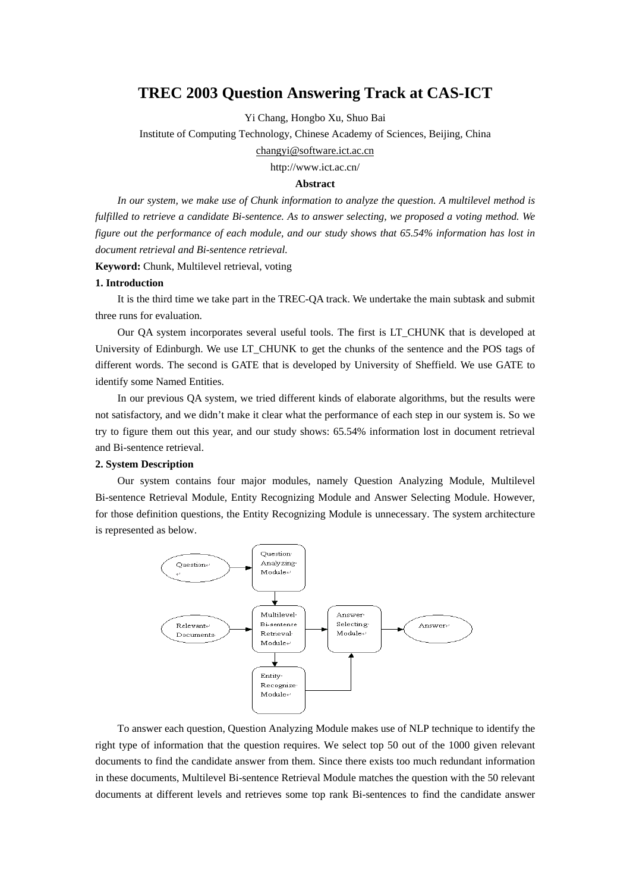# **TREC 2003 Question Answering Track at CAS-ICT**

Yi Chang, Hongbo Xu, Shuo Bai

Institute of Computing Technology, Chinese Academy of Sciences, Beijing, China

[changyi@software.ict.ac.cn](mailto:changyi@software.ict.ac.cn)

http://www.ict.ac.cn/

## **Abstract**

*In our system, we make use of Chunk information to analyze the question. A multilevel method is fulfilled to retrieve a candidate Bi-sentence. As to answer selecting, we proposed a voting method. We figure out the performance of each module, and our study shows that 65.54% information has lost in document retrieval and Bi-sentence retrieval.*

**Keyword:** Chunk, Multilevel retrieval, voting

# **1. Introduction**

It is the third time we take part in the TREC-QA track. We undertake the main subtask and submit three runs for evaluation.

Our QA system incorporates several useful tools. The first is LT\_CHUNK that is developed at University of Edinburgh. We use LT\_CHUNK to get the chunks of the sentence and the POS tags of different words. The second is GATE that is developed by University of Sheffield. We use GATE to identify some Named Entities.

In our previous QA system, we tried different kinds of elaborate algorithms, but the results were not satisfactory, and we didn't make it clear what the performance of each step in our system is. So we try to figure them out this year, and our study shows: 65.54% information lost in document retrieval and Bi-sentence retrieval.

## **2. System Description**

Our system contains four major modules, namely Question Analyzing Module, Multilevel Bi-sentence Retrieval Module, Entity Recognizing Module and Answer Selecting Module. However, for those definition questions, the Entity Recognizing Module is unnecessary. The system architecture is represented as below.



To answer each question, Question Analyzing Module makes use of NLP technique to identify the right type of information that the question requires. We select top 50 out of the 1000 given relevant documents to find the candidate answer from them. Since there exists too much redundant information in these documents, Multilevel Bi-sentence Retrieval Module matches the question with the 50 relevant documents at different levels and retrieves some top rank Bi-sentences to find the candidate answer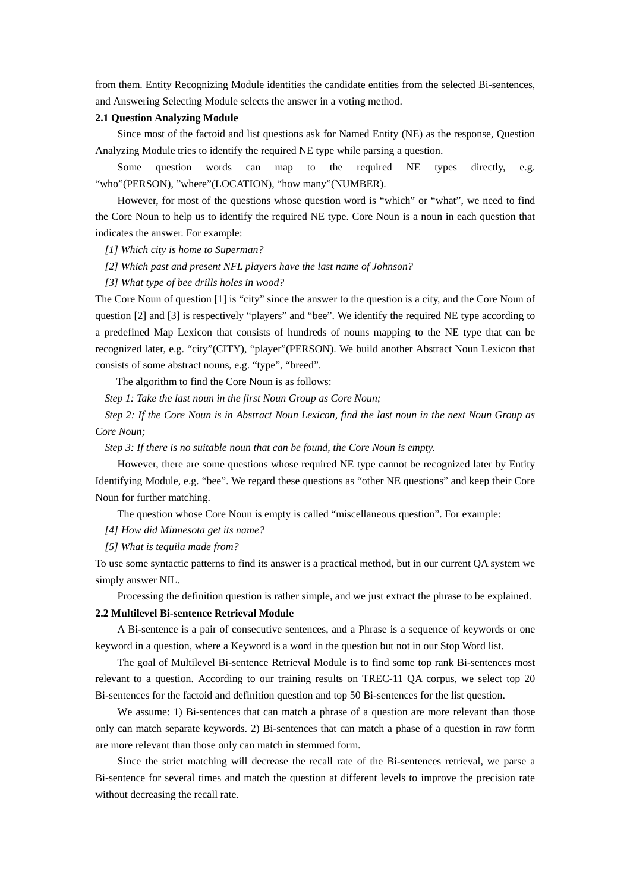from them. Entity Recognizing Module identities the candidate entities from the selected Bi-sentences, and Answering Selecting Module selects the answer in a voting method.

## **2.1 Question Analyzing Module**

Since most of the factoid and list questions ask for Named Entity (NE) as the response, Question Analyzing Module tries to identify the required NE type while parsing a question.

Some question words can map to the required NE types directly, e.g. "who"(PERSON), "where"(LOCATION), "how many"(NUMBER).

However, for most of the questions whose question word is "which" or "what", we need to find the Core Noun to help us to identify the required NE type. Core Noun is a noun in each question that indicates the answer. For example:

*[1] Which city is home to Superman?* 

*[2] Which past and present NFL players have the last name of Johnson?*

*[3] What type of bee drills holes in wood?*

The Core Noun of question [1] is "city" since the answer to the question is a city, and the Core Noun of question [2] and [3] is respectively "players" and "bee". We identify the required NE type according to a predefined Map Lexicon that consists of hundreds of nouns mapping to the NE type that can be recognized later, e.g. "city"(CITY), "player"(PERSON). We build another Abstract Noun Lexicon that consists of some abstract nouns, e.g. "type", "breed".

The algorithm to find the Core Noun is as follows:

*Step 1: Take the last noun in the first Noun Group as Core Noun;* 

*Step 2: If the Core Noun is in Abstract Noun Lexicon, find the last noun in the next Noun Group as Core Noun;* 

*Step 3: If there is no suitable noun that can be found, the Core Noun is empty.*

However, there are some questions whose required NE type cannot be recognized later by Entity Identifying Module, e.g. "bee". We regard these questions as "other NE questions" and keep their Core Noun for further matching.

The question whose Core Noun is empty is called "miscellaneous question". For example:

*[4] How did Minnesota get its name?* 

*[5] What is tequila made from?* 

To use some syntactic patterns to find its answer is a practical method, but in our current QA system we simply answer NIL.

Processing the definition question is rather simple, and we just extract the phrase to be explained.

#### **2.2 Multilevel Bi-sentence Retrieval Module**

A Bi-sentence is a pair of consecutive sentences, and a Phrase is a sequence of keywords or one keyword in a question, where a Keyword is a word in the question but not in our Stop Word list.

The goal of Multilevel Bi-sentence Retrieval Module is to find some top rank Bi-sentences most relevant to a question. According to our training results on TREC-11 QA corpus, we select top 20 Bi-sentences for the factoid and definition question and top 50 Bi-sentences for the list question.

We assume: 1) Bi-sentences that can match a phrase of a question are more relevant than those only can match separate keywords. 2) Bi-sentences that can match a phase of a question in raw form are more relevant than those only can match in stemmed form.

Since the strict matching will decrease the recall rate of the Bi-sentences retrieval, we parse a Bi-sentence for several times and match the question at different levels to improve the precision rate without decreasing the recall rate.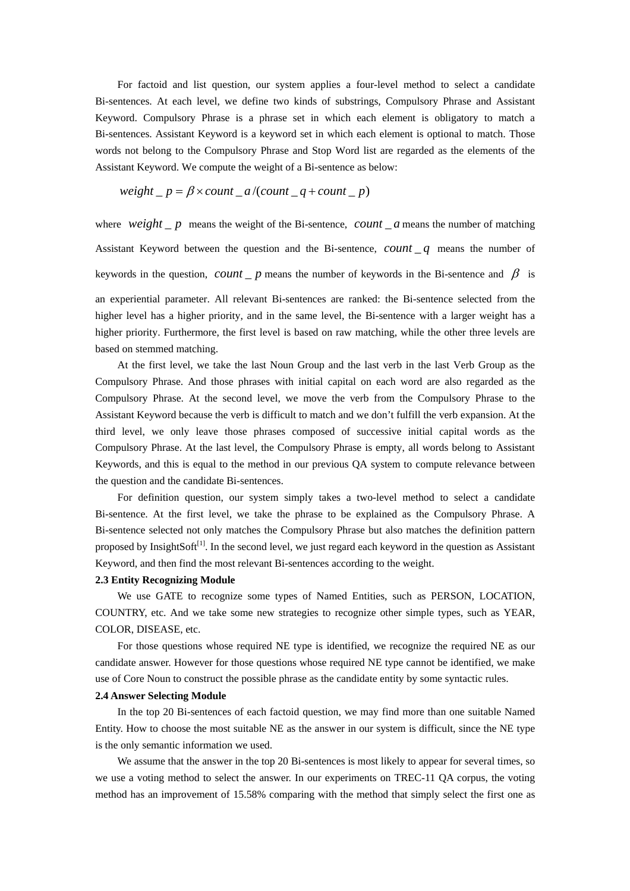For factoid and list question, our system applies a four-level method to select a candidate Bi-sentences. At each level, we define two kinds of substrings, Compulsory Phrase and Assistant Keyword. Compulsory Phrase is a phrase set in which each element is obligatory to match a Bi-sentences. Assistant Keyword is a keyword set in which each element is optional to match. Those words not belong to the Compulsory Phrase and Stop Word list are regarded as the elements of the Assistant Keyword. We compute the weight of a Bi-sentence as below:

$$
weight_p = \beta \times count_a / (count_q + count_p)
$$

where *weight*  $\Delta p$  means the weight of the Bi-sentence, *count*  $\Delta a$  means the number of matching Assistant Keyword between the question and the Bi-sentence,  $count_q$  means the number of keywords in the question,  $count_p$  means the number of keywords in the Bi-sentence and  $\beta$  is

an experiential parameter. All relevant Bi-sentences are ranked: the Bi-sentence selected from the higher level has a higher priority, and in the same level, the Bi-sentence with a larger weight has a higher priority. Furthermore, the first level is based on raw matching, while the other three levels are based on stemmed matching.

At the first level, we take the last Noun Group and the last verb in the last Verb Group as the Compulsory Phrase. And those phrases with initial capital on each word are also regarded as the Compulsory Phrase. At the second level, we move the verb from the Compulsory Phrase to the Assistant Keyword because the verb is difficult to match and we don't fulfill the verb expansion. At the third level, we only leave those phrases composed of successive initial capital words as the Compulsory Phrase. At the last level, the Compulsory Phrase is empty, all words belong to Assistant Keywords, and this is equal to the method in our previous QA system to compute relevance between the question and the candidate Bi-sentences.

For definition question, our system simply takes a two-level method to select a candidate Bi-sentence. At the first level, we take the phrase to be explained as the Compulsory Phrase. A Bi-sentence selected not only matches the Compulsory Phrase but also matches the definition pattern proposed by InsightSoft<sup>[1]</sup>. In the second level, we just regard each keyword in the question as Assistant Keyword, and then find the most relevant Bi-sentences according to the weight.

### **2.3 Entity Recognizing Module**

We use GATE to recognize some types of Named Entities, such as PERSON, LOCATION, COUNTRY, etc. And we take some new strategies to recognize other simple types, such as YEAR, COLOR, DISEASE, etc.

For those questions whose required NE type is identified, we recognize the required NE as our candidate answer. However for those questions whose required NE type cannot be identified, we make use of Core Noun to construct the possible phrase as the candidate entity by some syntactic rules.

## **2.4 Answer Selecting Module**

In the top 20 Bi-sentences of each factoid question, we may find more than one suitable Named Entity. How to choose the most suitable NE as the answer in our system is difficult, since the NE type is the only semantic information we used.

We assume that the answer in the top 20 Bi-sentences is most likely to appear for several times, so we use a voting method to select the answer. In our experiments on TREC-11 QA corpus, the voting method has an improvement of 15.58% comparing with the method that simply select the first one as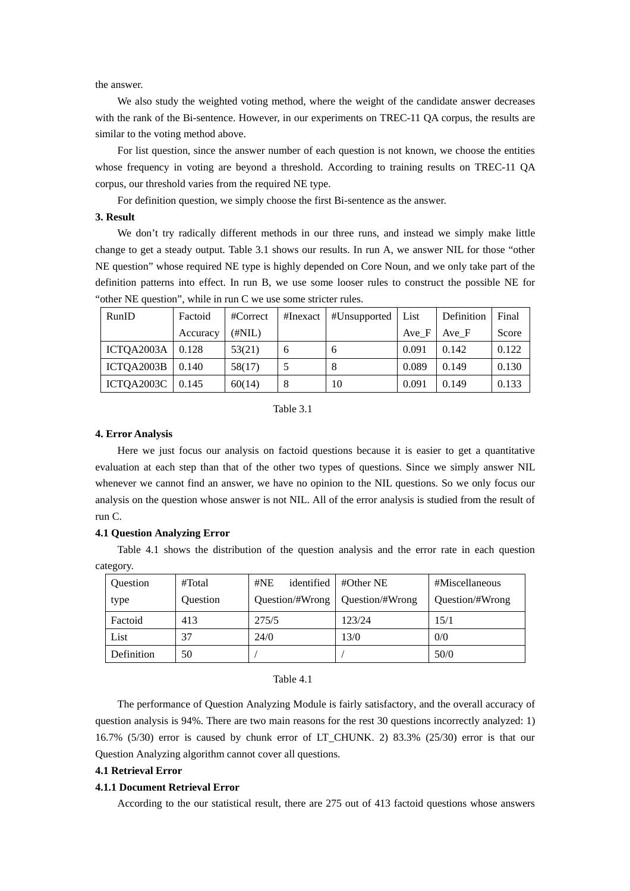the answer.

We also study the weighted voting method, where the weight of the candidate answer decreases with the rank of the Bi-sentence. However, in our experiments on TREC-11 QA corpus, the results are similar to the voting method above.

For list question, since the answer number of each question is not known, we choose the entities whose frequency in voting are beyond a threshold. According to training results on TREC-11 QA corpus, our threshold varies from the required NE type.

For definition question, we simply choose the first Bi-sentence as the answer.

# **3. Result**

We don't try radically different methods in our three runs, and instead we simply make little change to get a steady output. Table 3.1 shows our results. In run A, we answer NIL for those "other NE question" whose required NE type is highly depended on Core Noun, and we only take part of the definition patterns into effect. In run B, we use some looser rules to construct the possible NE for "other NE question", while in run C we use some stricter rules.

| RunID                   | Factoid  | #Correct | #Inexact | #Unsupported | List  | Definition | Final |
|-------------------------|----------|----------|----------|--------------|-------|------------|-------|
|                         | Accuracy | (#NIL)   |          |              | Ave F | Ave F      | Score |
| ICTQA2003A $\mid$ 0.128 |          | 53(21)   | 6        | 6            | 0.091 | 0.142      | 0.122 |
| ICTQA2003B              | 0.140    | 58(17)   |          | 8            | 0.089 | 0.149      | 0.130 |
| ICTQA2003C   $0.145$    |          | 60(14)   | 8        | 10           | 0.091 | 0.149      | 0.133 |

### Table 3.1

## **4. Error Analysis**

Here we just focus our analysis on factoid questions because it is easier to get a quantitative evaluation at each step than that of the other two types of questions. Since we simply answer NIL whenever we cannot find an answer, we have no opinion to the NIL questions. So we only focus our analysis on the question whose answer is not NIL. All of the error analysis is studied from the result of run C.

#### **4.1 Question Analyzing Error**

Table 4.1 shows the distribution of the question analysis and the error rate in each question category.

| <b>Ouestion</b> | #Total   | identified<br>#NE | $\#$ Other NE   | #Miscellaneous  |
|-----------------|----------|-------------------|-----------------|-----------------|
| type            | Ouestion | Ouestion/#Wrong   | Question/#Wrong | Question/#Wrong |
| Factoid         | 413      | 275/5             | 123/24          | 15/1            |
| List            | 37       | 24/0              | 13/0            | 0/0             |
| Definition      | 50       |                   |                 | 50/0            |

#### Table 4.1

The performance of Question Analyzing Module is fairly satisfactory, and the overall accuracy of question analysis is 94%. There are two main reasons for the rest 30 questions incorrectly analyzed: 1) 16.7% (5/30) error is caused by chunk error of LT\_CHUNK. 2) 83.3% (25/30) error is that our Question Analyzing algorithm cannot cover all questions.

# **4.1 Retrieval Error**

# **4.1.1 Document Retrieval Error**

According to the our statistical result, there are 275 out of 413 factoid questions whose answers